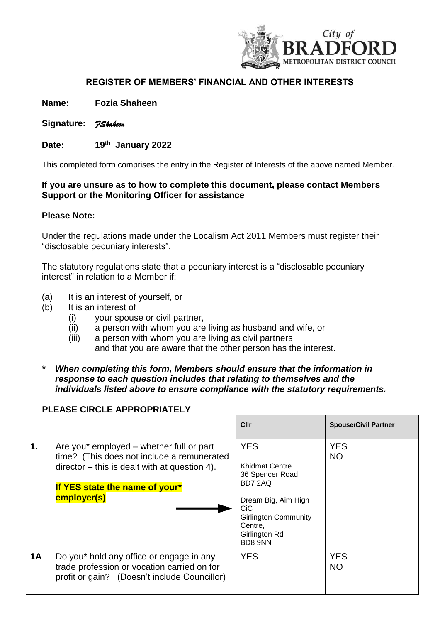

## **REGISTER OF MEMBERS' FINANCIAL AND OTHER INTERESTS**

**Name: Fozia Shaheen**

- **Signature:** *FShaheen*
- Date:  **January 2022**

This completed form comprises the entry in the Register of Interests of the above named Member.

## **If you are unsure as to how to complete this document, please contact Members Support or the Monitoring Officer for assistance**

## **Please Note:**

Under the regulations made under the Localism Act 2011 Members must register their "disclosable pecuniary interests".

The statutory regulations state that a pecuniary interest is a "disclosable pecuniary interest" in relation to a Member if:

- (a) It is an interest of yourself, or
- (b) It is an interest of
	- (i) your spouse or civil partner,
	- (ii) a person with whom you are living as husband and wife, or
	- (iii) a person with whom you are living as civil partners and that you are aware that the other person has the interest.
- *\* When completing this form, Members should ensure that the information in response to each question includes that relating to themselves and the individuals listed above to ensure compliance with the statutory requirements.*

## **PLEASE CIRCLE APPROPRIATELY**

|    |                                                                                                                                                                                            | Cllr                                                                                                                                                           | <b>Spouse/Civil Partner</b> |
|----|--------------------------------------------------------------------------------------------------------------------------------------------------------------------------------------------|----------------------------------------------------------------------------------------------------------------------------------------------------------------|-----------------------------|
| 1. | Are you* employed – whether full or part<br>time? (This does not include a remunerated<br>$director - this$ is dealt with at question 4).<br>If YES state the name of your*<br>employer(s) | <b>YES</b><br>Khidmat Centre<br>36 Spencer Road<br>BD7 2AQ<br>Dream Big, Aim High<br>CiC<br><b>Girlington Community</b><br>Centre,<br>Girlington Rd<br>BD8 9NN | <b>YES</b><br><b>NO</b>     |
| 1A | Do you* hold any office or engage in any<br>trade profession or vocation carried on for<br>profit or gain? (Doesn't include Councillor)                                                    | <b>YES</b>                                                                                                                                                     | <b>YES</b><br><b>NO</b>     |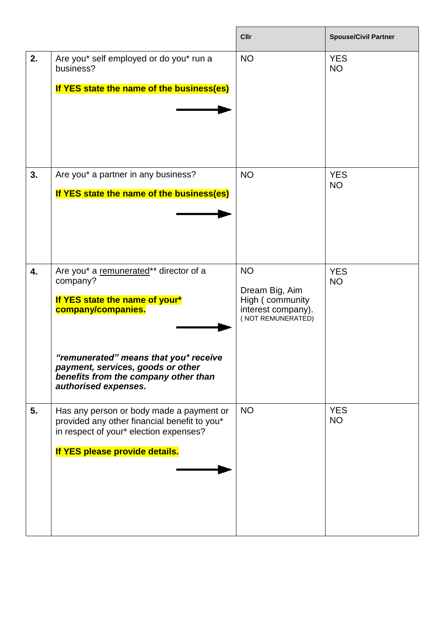|    |                                                                                                                                                                                                                                                          | <b>Cllr</b>                                                                               | <b>Spouse/Civil Partner</b> |
|----|----------------------------------------------------------------------------------------------------------------------------------------------------------------------------------------------------------------------------------------------------------|-------------------------------------------------------------------------------------------|-----------------------------|
| 2. | Are you* self employed or do you* run a<br>business?<br>If YES state the name of the business(es)                                                                                                                                                        | <b>NO</b>                                                                                 | <b>YES</b><br><b>NO</b>     |
| 3. | Are you* a partner in any business?<br>If YES state the name of the business(es)                                                                                                                                                                         | <b>NO</b>                                                                                 | <b>YES</b><br><b>NO</b>     |
| 4. | Are you* a remunerated** director of a<br>company?<br>If YES state the name of your*<br>company/companies.<br>"remunerated" means that you* receive<br>payment, services, goods or other<br>benefits from the company other than<br>authorised expenses. | <b>NO</b><br>Dream Big, Aim<br>High (community<br>interest company).<br>(NOT REMUNERATED) | <b>YES</b><br><b>NO</b>     |
| 5. | Has any person or body made a payment or<br>provided any other financial benefit to you*<br>in respect of your* election expenses?<br>If YES please provide details.                                                                                     | <b>NO</b>                                                                                 | <b>YES</b><br><b>NO</b>     |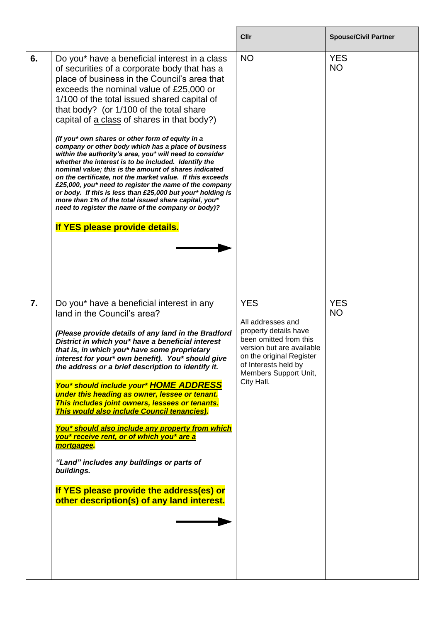|    |                                                                                                                                                                                                                                                                                                                                                                                                                                                                                                                                                                                                                                                                                                                                                                                                                                                                                                                                                               | Cllr                                                                                                                                                                                                       | <b>Spouse/Civil Partner</b> |
|----|---------------------------------------------------------------------------------------------------------------------------------------------------------------------------------------------------------------------------------------------------------------------------------------------------------------------------------------------------------------------------------------------------------------------------------------------------------------------------------------------------------------------------------------------------------------------------------------------------------------------------------------------------------------------------------------------------------------------------------------------------------------------------------------------------------------------------------------------------------------------------------------------------------------------------------------------------------------|------------------------------------------------------------------------------------------------------------------------------------------------------------------------------------------------------------|-----------------------------|
| 6. | Do you* have a beneficial interest in a class<br>of securities of a corporate body that has a<br>place of business in the Council's area that<br>exceeds the nominal value of £25,000 or<br>1/100 of the total issued shared capital of<br>that body? (or 1/100 of the total share<br>capital of a class of shares in that body?)<br>(If you* own shares or other form of equity in a<br>company or other body which has a place of business<br>within the authority's area, you* will need to consider<br>whether the interest is to be included. Identify the<br>nominal value; this is the amount of shares indicated<br>on the certificate, not the market value. If this exceeds<br>£25,000, you* need to register the name of the company<br>or body. If this is less than £25,000 but your* holding is<br>more than 1% of the total issued share capital, you*<br>need to register the name of the company or body)?<br>If YES please provide details. | <b>NO</b>                                                                                                                                                                                                  | <b>YES</b><br><b>NO</b>     |
| 7. | Do you* have a beneficial interest in any<br>land in the Council's area?<br>(Please provide details of any land in the Bradford<br>District in which you* have a beneficial interest<br>that is, in which you* have some proprietary<br>interest for your* own benefit). You* should give<br>the address or a brief description to identify it.<br>You* should include your* HOME ADDRESS<br>under this heading as owner, lessee or tenant.<br>This includes joint owners, lessees or tenants.<br>This would also include Council tenancies).<br>You* should also include any property from which<br>you* receive rent, or of which you* are a<br>mortgagee.<br>"Land" includes any buildings or parts of<br>buildings.<br>If YES please provide the address(es) or<br>other description(s) of any land interest.                                                                                                                                             | <b>YES</b><br>All addresses and<br>property details have<br>been omitted from this<br>version but are available<br>on the original Register<br>of Interests held by<br>Members Support Unit,<br>City Hall. | <b>YES</b><br><b>NO</b>     |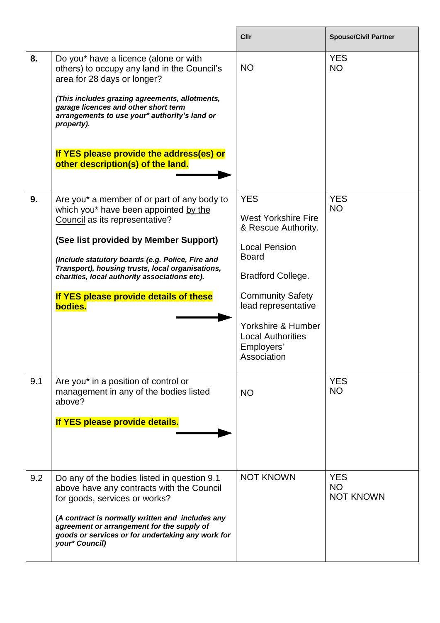|     |                                                                                                                                                                                                                                                                                                                                                                               | <b>Cllr</b>                                                                                                                                                                                                                                                          | <b>Spouse/Civil Partner</b>                 |
|-----|-------------------------------------------------------------------------------------------------------------------------------------------------------------------------------------------------------------------------------------------------------------------------------------------------------------------------------------------------------------------------------|----------------------------------------------------------------------------------------------------------------------------------------------------------------------------------------------------------------------------------------------------------------------|---------------------------------------------|
| 8.  | Do you* have a licence (alone or with<br>others) to occupy any land in the Council's<br>area for 28 days or longer?<br>(This includes grazing agreements, allotments,<br>garage licences and other short term<br>arrangements to use your* authority's land or<br>property).<br>If YES please provide the address(es) or<br>other description(s) of the land.                 | <b>NO</b>                                                                                                                                                                                                                                                            | <b>YES</b><br><b>NO</b>                     |
| 9.  | Are you* a member of or part of any body to<br>which you* have been appointed by the<br>Council as its representative?<br>(See list provided by Member Support)<br>(Include statutory boards (e.g. Police, Fire and<br>Transport), housing trusts, local organisations,<br>charities, local authority associations etc).<br>If YES please provide details of these<br>bodies. | <b>YES</b><br><b>West Yorkshire Fire</b><br>& Rescue Authority.<br><b>Local Pension</b><br><b>Board</b><br><b>Bradford College.</b><br><b>Community Safety</b><br>lead representative<br>Yorkshire & Humber<br><b>Local Authorities</b><br>Employers'<br>Association | <b>YES</b><br><b>NO</b>                     |
| 9.1 | Are you* in a position of control or<br>management in any of the bodies listed<br>above?<br>If YES please provide details.                                                                                                                                                                                                                                                    | <b>NO</b>                                                                                                                                                                                                                                                            | <b>YES</b><br><b>NO</b>                     |
| 9.2 | Do any of the bodies listed in question 9.1<br>above have any contracts with the Council<br>for goods, services or works?<br>(A contract is normally written and includes any<br>agreement or arrangement for the supply of<br>goods or services or for undertaking any work for<br>your* Council)                                                                            | <b>NOT KNOWN</b>                                                                                                                                                                                                                                                     | <b>YES</b><br><b>NO</b><br><b>NOT KNOWN</b> |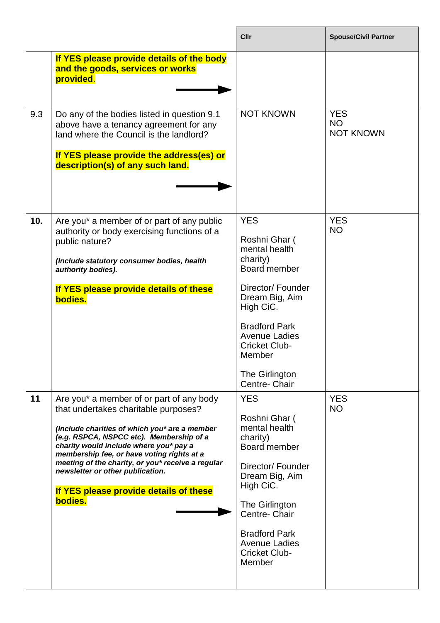|     |                                                                                                                                                                                                                                                                                                                                                                                                                     | Cllr                                                                                                                                                                                                                                              | <b>Spouse/Civil Partner</b>                 |
|-----|---------------------------------------------------------------------------------------------------------------------------------------------------------------------------------------------------------------------------------------------------------------------------------------------------------------------------------------------------------------------------------------------------------------------|---------------------------------------------------------------------------------------------------------------------------------------------------------------------------------------------------------------------------------------------------|---------------------------------------------|
|     | If YES please provide details of the body<br>and the goods, services or works<br>provided.                                                                                                                                                                                                                                                                                                                          |                                                                                                                                                                                                                                                   |                                             |
| 9.3 | Do any of the bodies listed in question 9.1<br>above have a tenancy agreement for any<br>land where the Council is the landlord?<br>If YES please provide the address(es) or<br>description(s) of any such land.                                                                                                                                                                                                    | <b>NOT KNOWN</b>                                                                                                                                                                                                                                  | <b>YES</b><br><b>NO</b><br><b>NOT KNOWN</b> |
| 10. | Are you* a member of or part of any public<br>authority or body exercising functions of a<br>public nature?<br>(Include statutory consumer bodies, health<br>authority bodies).<br>If YES please provide details of these<br>bodies.                                                                                                                                                                                | <b>YES</b><br>Roshni Ghar (<br>mental health<br>charity)<br>Board member<br>Director/ Founder<br>Dream Big, Aim<br>High CiC.<br><b>Bradford Park</b><br><b>Avenue Ladies</b><br><b>Cricket Club-</b><br>Member<br>The Girlington<br>Centre- Chair | <b>YES</b><br><b>NO</b>                     |
| 11  | Are you* a member of or part of any body<br>that undertakes charitable purposes?<br>(Include charities of which you* are a member<br>(e.g. RSPCA, NSPCC etc). Membership of a<br>charity would include where you* pay a<br>membership fee, or have voting rights at a<br>meeting of the charity, or you* receive a regular<br>newsletter or other publication.<br>If YES please provide details of these<br>bodies. | <b>YES</b><br>Roshni Ghar (<br>mental health<br>charity)<br>Board member<br>Director/Founder<br>Dream Big, Aim<br>High CiC.<br>The Girlington<br>Centre- Chair<br><b>Bradford Park</b><br><b>Avenue Ladies</b><br><b>Cricket Club-</b><br>Member  | <b>YES</b><br><b>NO</b>                     |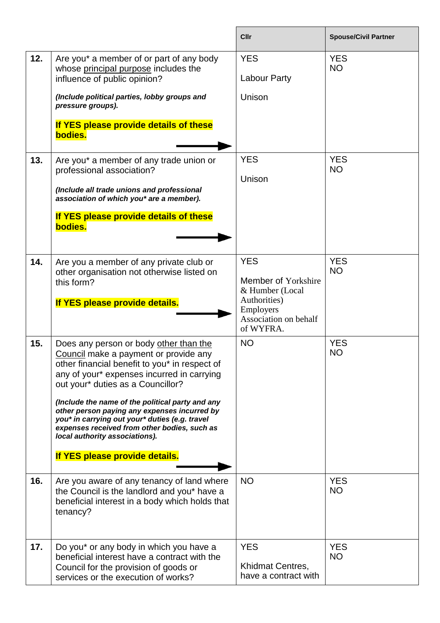|     |                                                                                                                                                                                                                                                                                                                                                                                                                                                                                               | Cllr                                                                                                                           | <b>Spouse/Civil Partner</b> |
|-----|-----------------------------------------------------------------------------------------------------------------------------------------------------------------------------------------------------------------------------------------------------------------------------------------------------------------------------------------------------------------------------------------------------------------------------------------------------------------------------------------------|--------------------------------------------------------------------------------------------------------------------------------|-----------------------------|
| 12. | Are you* a member of or part of any body<br>whose principal purpose includes the<br>influence of public opinion?<br>(Include political parties, lobby groups and<br>pressure groups).                                                                                                                                                                                                                                                                                                         | <b>YES</b><br><b>Labour Party</b><br>Unison                                                                                    | <b>YES</b><br><b>NO</b>     |
|     | If YES please provide details of these<br>bodies.                                                                                                                                                                                                                                                                                                                                                                                                                                             |                                                                                                                                |                             |
| 13. | Are you* a member of any trade union or<br>professional association?<br>(Include all trade unions and professional<br>association of which you* are a member).<br>If YES please provide details of these<br>bodies.                                                                                                                                                                                                                                                                           | <b>YES</b><br>Unison                                                                                                           | <b>YES</b><br><b>NO</b>     |
| 14. | Are you a member of any private club or<br>other organisation not otherwise listed on<br>this form?<br>If YES please provide details.                                                                                                                                                                                                                                                                                                                                                         | <b>YES</b><br>Member of Yorkshire<br>& Humber (Local<br>Authorities)<br><b>Employers</b><br>Association on behalf<br>of WYFRA. | <b>YES</b><br><b>NO</b>     |
| 15. | Does any person or body other than the<br>Council make a payment or provide any<br>other financial benefit to you* in respect of<br>any of your* expenses incurred in carrying<br>out your* duties as a Councillor?<br>(Include the name of the political party and any<br>other person paying any expenses incurred by<br>you* in carrying out your* duties (e.g. travel<br>expenses received from other bodies, such as<br>local authority associations).<br>If YES please provide details. | <b>NO</b>                                                                                                                      | <b>YES</b><br><b>NO</b>     |
| 16. | Are you aware of any tenancy of land where<br>the Council is the landlord and you* have a<br>beneficial interest in a body which holds that<br>tenancy?                                                                                                                                                                                                                                                                                                                                       | <b>NO</b>                                                                                                                      | <b>YES</b><br><b>NO</b>     |
| 17. | Do you* or any body in which you have a<br>beneficial interest have a contract with the<br>Council for the provision of goods or<br>services or the execution of works?                                                                                                                                                                                                                                                                                                                       | <b>YES</b><br>Khidmat Centres,<br>have a contract with                                                                         | <b>YES</b><br><b>NO</b>     |